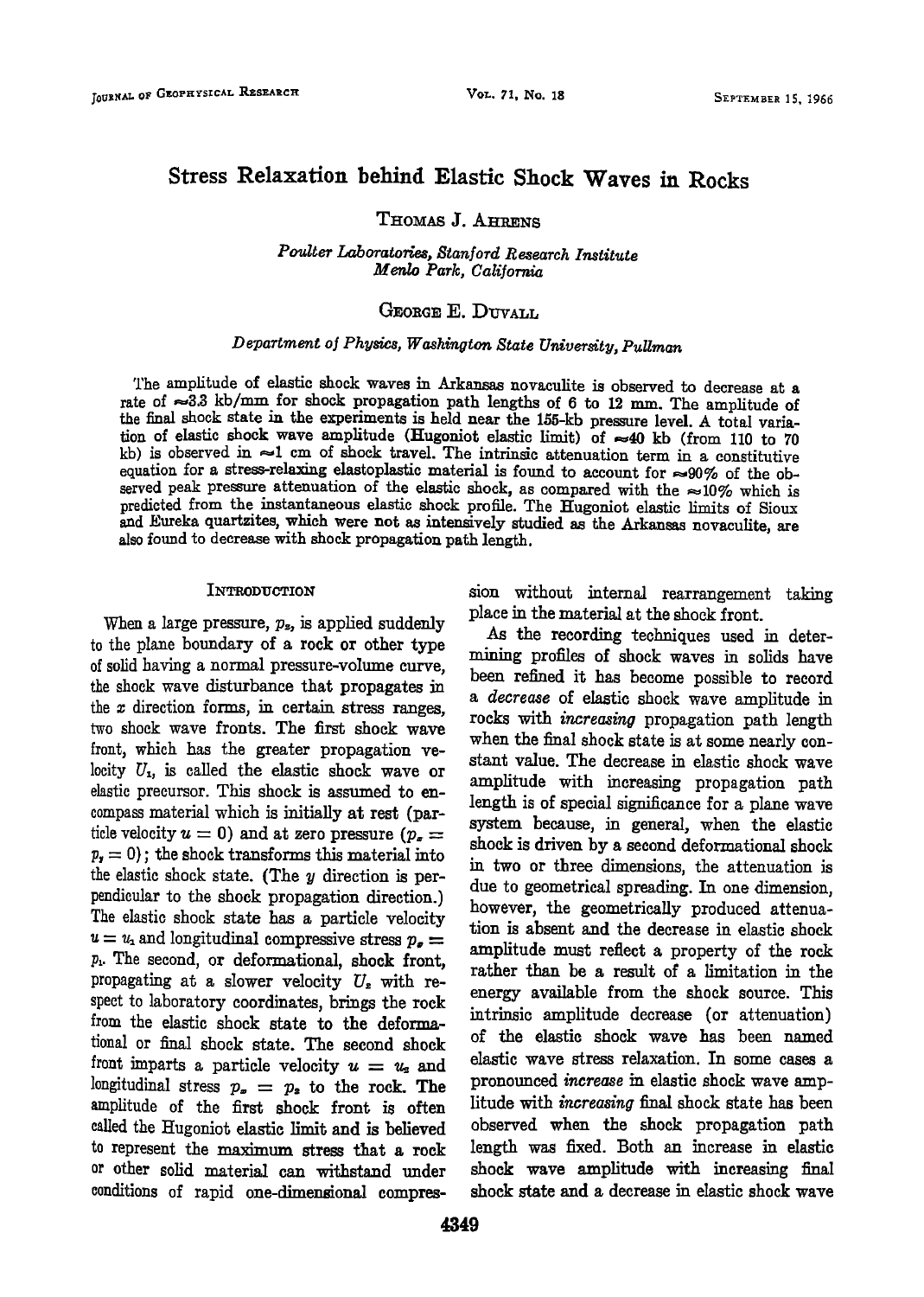# **Stress Relaxation behind Elastic Shock Waves in Rocks**

THOMAS **J. AHRENS** 

**Poulter Laboratories, Stanford Research Institute Menlo Park, California** 

## GEORGE E. DIIVALI.

# **Department of Physics, Washington State University, Pullman**

**The amplitude of elastic shock waves in Arkansas novaculite is observed to decrease at a**  rate of  $\approx 3.3$  kb/mm for shock propagation path lengths of 6 to 12 mm. The amplitude of the final shock state in the experiments is held near the 155-kb pressure level. A total variation of elastic shock wave amplitude (Hugoniot elastic limit) of  $\approx 40$  kb (from 110 to 70  $k$ b) is observed in  $\approx$ 1 cm of shock travel. The intrinsic attenuation term in a constitutive equation for a stress-relaxing elastoplastic material is found to account for  $\approx 90\%$  of the observed peak pressure attenuation of the elastic shock, as compared with the  $\approx 10\%$  which is **predicted from the instantaneous elastic shock profile. The ttugoniot elastic limits of Sioux and Eureka quartzites, which were not as intensively studied as the Arkansas novaculite, are also found to decrease with shock propagation path length.** 

## **INTRODUCTION**

When a large pressure,  $p_z$ , is applied suddenly to the plane boundary of a rock or other type **of solid having a normal pressure-volume curve, the shock wave disturbance that propagates in the x direction forms, in certain stress ranges, two shock wave fronts. The first shock wave front, which has the greater propagation ve**locity  $U_1$ , is called the elastic shock wave or **elastic precursor. This shock is assumed to encompass material which is initially at rest (par**ticle velocity  $u = 0$ ) and at zero pressure ( $p_x =$  $p_r = 0$ ); the shock transforms this material into the elastic shock state. (The y direction is perpendicular to the shock propagation direction.) **The elastic shock state has a particle velocity**   $u = u_1$  and longitudinal compressive stress  $p_a =$ **p•. The second, or deformational, shock front,**  propagating at a slower velocity  $U<sub>z</sub>$  with respect to laboratory coordinates, brings the rock **from the elastic shock state to the deformariohal or final shock state. The second shock**  front imparts a particle velocity  $u = u<sub>2</sub>$  and longitudinal stress  $p_x = p_z$  to the rock. The **amplitude of the first shock front is often**  called the Hugoniot elastic limit and is believed **to represent the maximum stress that a rock or other solid material can withstand under conditions of rapid one-dimensional compres-** **sion without internal rearrangement taking place in the material at the shock front.** 

**As the recording techniques used in determining profiles of shock waves in solids have been refined it has become possible to record a decrease of elastic shock wave amplitude in rocks with increasing propagation path length when the final shock state is at some nearly constant value. The decrease in elastic shock wave amplitude with increasing propagation path length is of special significance for a plane wave system because, in general, when the elastic shock is driven by a second deformafional shock in two or three dimensions, the attenuation is due to geometrical spreading. In one dimension, however, the geometrically produced attenuation is absent and the decrease in elastic shock amplitude must reflect a property of the rock rather than be a result of a limitation in the energy available from the shock source. This intrinsic amplitude decrease (or attenuation) of the elastic shock wave has been named elastic wave siress relaxation. In some cases a pronounced increase in elastic shock wave amplitude with increasing final shock state has been observed when the shock propagation path length was fixed. Both an increase in elastic shock wave amplitude with increasing final shock state and a decrease in elastie shock wave**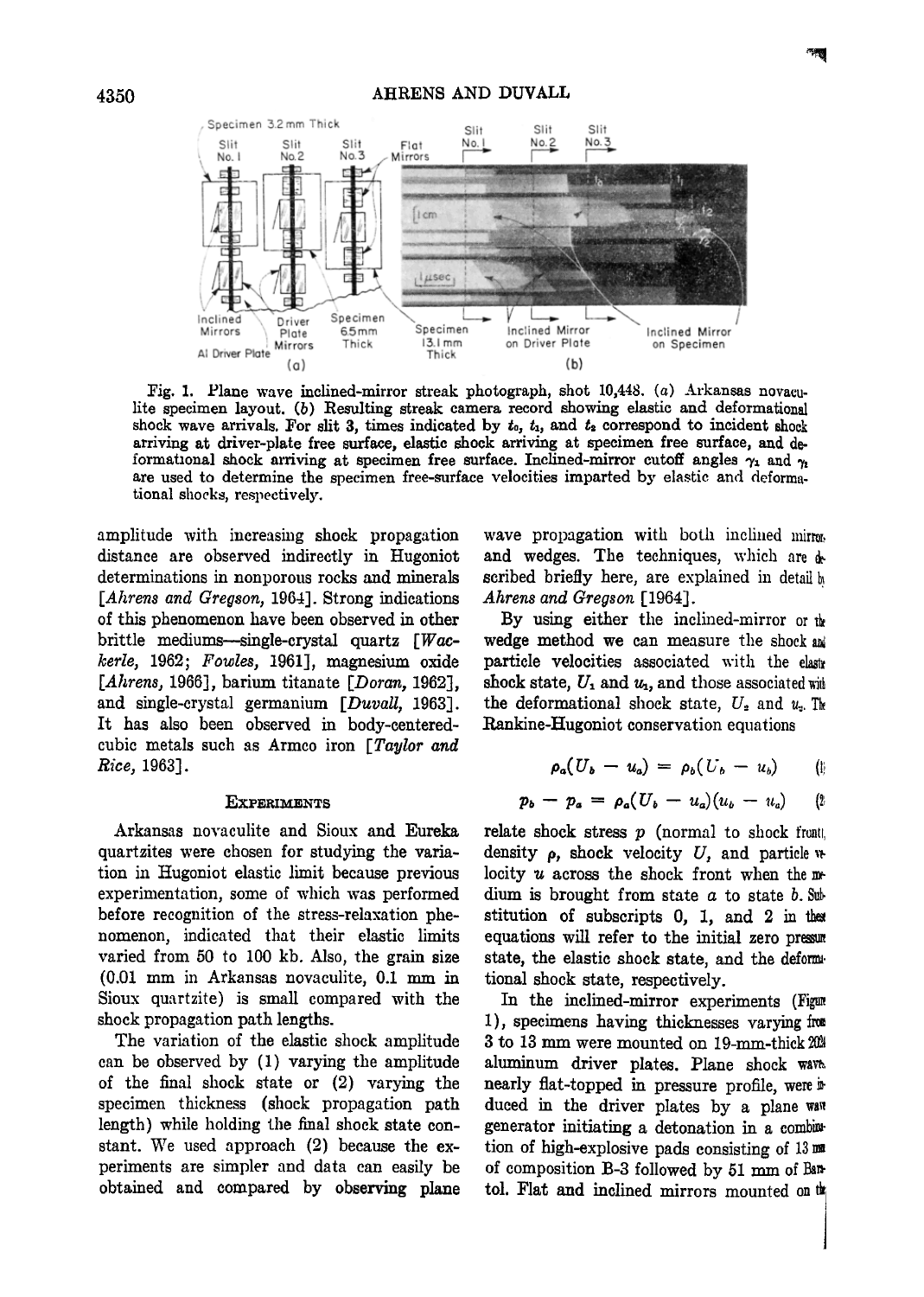

Fig. 1. Plane wave inclined-mirror streak photograph, shot 10,448. (a) Arkansas novaculite specimen layout. (b) Resulting streak camera record showing elastic and deformational shock wave arrivals. For slit 3, times indicated by  $t_0$ ,  $t_1$ , and  $t_2$  correspond to incident shock **arriving at driver-plate free surface, elastic shock arriving at specimen free surface, and de**formational shock arriving at specimen free surface. Inclined-mirror cutoff angles  $\gamma_1$  and  $\gamma_2$ are used to determine the specimen free-surface velocities imparted by elastic and deformational shocks, respectively.

**AMITORS** Plate Sommer Specimum included with the model of the Specimum of the Microsoft of the Microsoft California in the Microsoft of the Microsoft California in the Microsoft California in the Microsoft California in t

Plate <sub>cont</sub> thick thick

 $(a)$ 

p

C

amplitude with increasing shock propagation **distance are observed indirectly in Itugoniot determinations in nonporous reeks and minerals**  [Ahrens and Gregson, 1964]. Strong indications of this phenomenon have been observed in other **brittle mediums--single-crystal quartz [Wackerle, 19•2; Fowles, 1961], magnesium oxide**  [Ahrens, 1966], barium titanate [*Doran*, 1962]. and single-crystal germanium [Duvall, 1963]. **It has also been observed in body-centeredcubic metals such as Armco iron [Taylor and Rice, 1963].** 

## **EXPERIMENTS**

**Arkansas novaculite and Sioux and Eureka quartzites were chosen for studying the variation in I•Iugoniot elastic limit because previous**  experimentation, some of which was performed before recognition of the stress-relaxation phe**nomenon, indicated that their elastic limits**  varied from 50 to 100 kb. Also, the grain size **(0.01 mm in Arkansas noYaculite, 0.1 mm in**  Sioux quartzite) is small compared with the shock propagation path lengths.

**The variation of the elastic shock amplitude**  can be observed by (1) varying the amplitude **of the final shock state or (2) varying the specimen thickness (shock propagation path length) while holding the final shock state con**stant. We used approach (2) because the ex**periments are simpler and data can easily be obtained and compared by observing plane**  wave propagation with both inclined mirror. and wedges. The techniques, which are  $\phi$ **scribed briefly here, are explained in detail**  Ahrens and Gregson [1964].

**Inclined Mirror Inclined Mirror**<br> **ON Driver Plate CONSPICTION** 

**(b)** 

on Specimen

By using either the inclined-mirror or  $\mathbf{t}$ wedge method we can measure the shock and particle velocities associated with the elastr shock state,  $U_1$  and  $u_1$ , and those associated with the deformational shock state,  $U_2$  and  $u_3$ . The **Rankine-Hugoniot conservation equations** 

$$
\rho_a(U_b-u_a) = \rho_b(U_b-u_b) \qquad (i)
$$

$$
p_b - p_a = \rho_a (U_b - u_a) (u_b - u_a) \qquad (2
$$

**relate shock stress**  $p$  **(normal to shock front) density p, shock velocity U, and particle •** locity *u* across the shock front when the m**dium is brought from state a to state b.**  stitution of subscripts 0, 1, and 2 in the equations will refer to the initial zero pressure **state, the elastic shock state, and the deform riohal shock state, respectively.** 

In the inclined-mirror experiments (Figure 1), specimens having thicknesses varying from **3 to 13 mm were mounted on 19-mm-thick 2024 aluminum driver plates. Plane shock way, nearly flat-topped in pressure profile, were**  $\mathbf{\hat{P}}$ **duced in the driver plates by a plane**  generator initiating a detonation in a combintion of high-explosive pads consisting of 13 of composition B-3 followed by 51 mm of Ban**tol. Flat and inclined mirrors mounted on**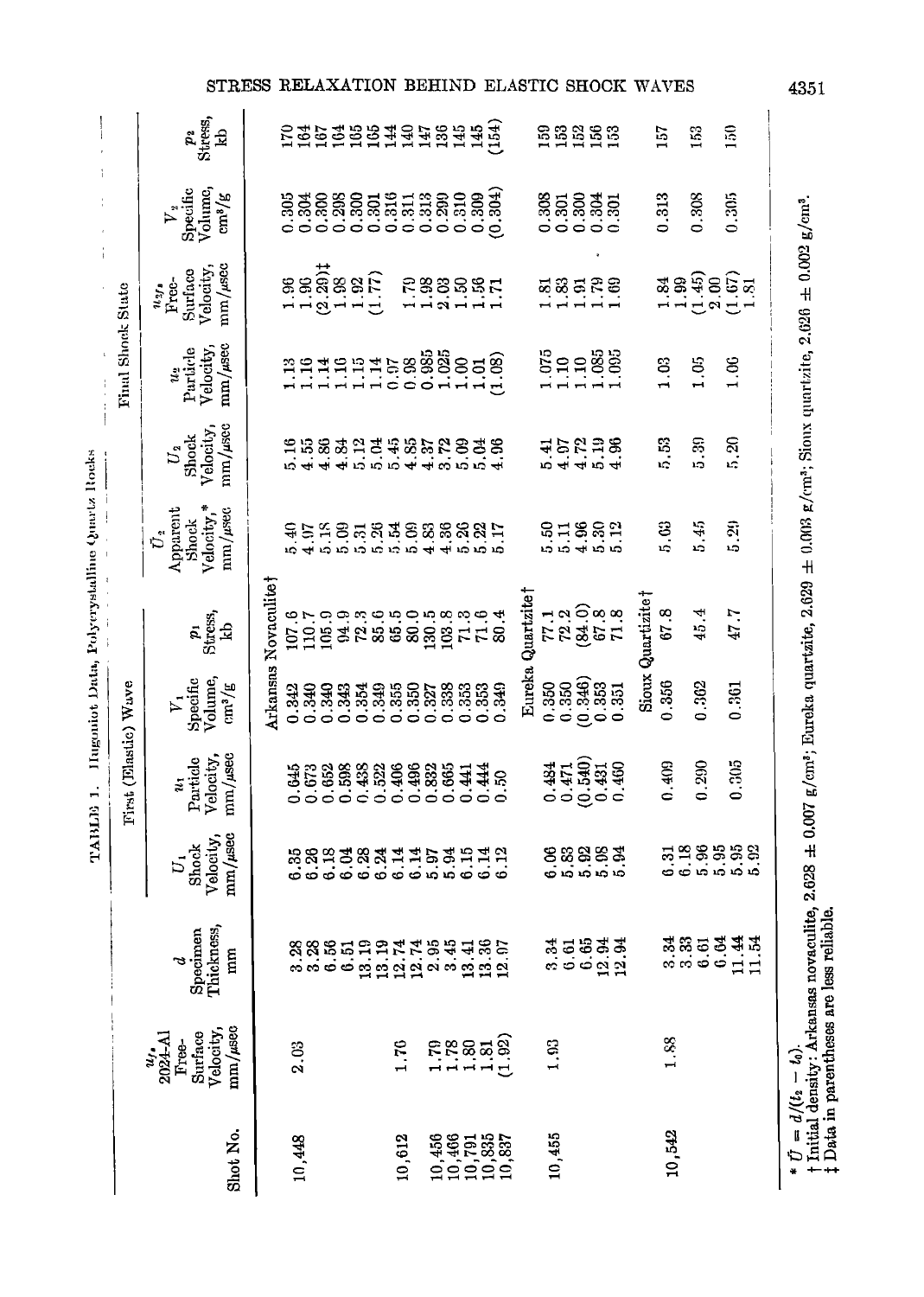| Thickness,<br>Specimen<br>3.28<br>នី.5<br>ចំ<br>$\frac{3}{2}$<br>mm<br>ರ<br>Velocity,<br>$mm/\mu$ sec<br>Surface<br>$\frac{u_{1}}{2024 - \text{Al}}$<br>Free-<br>2.03<br>Shot No.<br>10,448 | Velocity,<br>Shock<br>$\overline{U}$ |                                                               |                                                 |                                                        |                                                                   |                                                 |                                           |                                                                   |                                                              |                                   |
|---------------------------------------------------------------------------------------------------------------------------------------------------------------------------------------------|--------------------------------------|---------------------------------------------------------------|-------------------------------------------------|--------------------------------------------------------|-------------------------------------------------------------------|-------------------------------------------------|-------------------------------------------|-------------------------------------------------------------------|--------------------------------------------------------------|-----------------------------------|
|                                                                                                                                                                                             | mm/usec                              | $\frac{\text{mm}}{\text{M}}$<br>Particlo<br>Velocity,<br>u,   | $V_1$<br>Specific<br>Volume,<br>$\frac{m^3}{g}$ | $p_1$<br>Stress,<br>kb                                 | Velocity,*<br>$\bar{U}_2$<br>Apparent<br>$mm/$ $\mu$ sec<br>Shock | $m/m$ / $\mu$ see<br>Velocity<br>Shock<br>$U_2$ | $mm/$ usec<br>Particle<br>Velocity,<br>Ľ, | mm/sec<br>Velocity,<br>Surface<br>usta<br>Free-                   | Volume,<br>Specific<br>$\text{cm}^3/\text{g}$<br>$V_{\rm z}$ | $\frac{p_i}{\text{Stress}}$<br>kb |
|                                                                                                                                                                                             |                                      |                                                               | Arkansas                                        | Novaculitet                                            |                                                                   |                                                 |                                           |                                                                   |                                                              |                                   |
|                                                                                                                                                                                             |                                      | 0.645                                                         | 0.342                                           |                                                        | 10<br>19<br>19                                                    | $5.16$<br>$4.53$<br>$4.36$                      | $\frac{33}{10}$                           | 88888F<br>--874-0                                                 |                                                              | <b>EBBBBEERBBBBB</b>              |
|                                                                                                                                                                                             | 888388344583514<br>6666666666666     | $0.673$<br>$0.653$<br>$0.653$<br>$0.432$<br>$0.522$<br>$0.65$ | 0.340<br>0.340                                  | $\begin{array}{c} 107.6 \\ 110.7 \\ 105.9 \end{array}$ |                                                                   |                                                 | $\frac{14}{1}$                            |                                                                   |                                                              |                                   |
|                                                                                                                                                                                             |                                      |                                                               | 0.343                                           |                                                        |                                                                   |                                                 |                                           |                                                                   |                                                              |                                   |
|                                                                                                                                                                                             |                                      |                                                               | 0.354<br>0.349                                  |                                                        |                                                                   | 33.2148.25.25.35                                |                                           |                                                                   |                                                              |                                   |
|                                                                                                                                                                                             |                                      |                                                               |                                                 |                                                        |                                                                   |                                                 |                                           |                                                                   |                                                              |                                   |
| 1.76<br>10,612                                                                                                                                                                              |                                      |                                                               | 0.355                                           |                                                        |                                                                   |                                                 |                                           | 1.70                                                              |                                                              |                                   |
|                                                                                                                                                                                             |                                      |                                                               | $0.350$<br>$0.327$                              |                                                        |                                                                   |                                                 |                                           | 1.98                                                              |                                                              |                                   |
| 1.79                                                                                                                                                                                        |                                      | 0.882<br>0.882<br>0.665                                       | 0.338                                           |                                                        |                                                                   |                                                 |                                           |                                                                   |                                                              |                                   |
|                                                                                                                                                                                             |                                      |                                                               |                                                 |                                                        |                                                                   |                                                 |                                           |                                                                   |                                                              |                                   |
| $1.88$<br>$-1.81$                                                                                                                                                                           |                                      | 0.441                                                         |                                                 |                                                        |                                                                   |                                                 |                                           |                                                                   |                                                              |                                   |
| nada<br>Bayangan<br>Bayangan<br>(1.92)<br>$\begin{array}{c} 10,456 \\ 10,466 \\ 10,791 \\ 10,835 \\ 10,837 \\ 10,837 \\ \end{array}$                                                        | 6.12                                 | 0.444<br>S,                                                   | 33349<br>0.3349<br>0.0                          | angnonggung<br>Sangsang                                | <b>紅的形成斑的路路線線口</b><br>2019年度19月19日                                | 4.96                                            | 199458888658<br>11100011110               | BREE                                                              |                                                              |                                   |
|                                                                                                                                                                                             |                                      |                                                               |                                                 | Eureka Quartzite <sup>†</sup>                          |                                                                   |                                                 |                                           |                                                                   |                                                              |                                   |
| 1,93                                                                                                                                                                                        |                                      |                                                               | 0.350                                           |                                                        |                                                                   |                                                 |                                           |                                                                   |                                                              |                                   |
| 10,455                                                                                                                                                                                      |                                      |                                                               | 0.350                                           |                                                        |                                                                   |                                                 |                                           |                                                                   |                                                              |                                   |
|                                                                                                                                                                                             |                                      |                                                               | (0.346)                                         |                                                        |                                                                   |                                                 |                                           |                                                                   |                                                              |                                   |
| 35533<br>00022                                                                                                                                                                              | 88883<br><b>engin</b> o              | $0.44$<br>$0.540$<br>$0.540$<br>$0.540$<br>$0.460$            | ់នូវ<br>០.351<br>០                              | 72865<br>17885                                         | 51882                                                             | 15238<br>14154                                  | 19988<br>11988                            | <b>z</b> 33528                                                    | ន្លី<br>ខ្លីន្លីន្លីន្លី<br>ខ្ញុំខ្ញុំខ្ញុំខ្ញុំ             | <b>88888</b>                      |
|                                                                                                                                                                                             |                                      |                                                               |                                                 |                                                        |                                                                   |                                                 |                                           |                                                                   |                                                              |                                   |
|                                                                                                                                                                                             |                                      |                                                               |                                                 | Sioux Quartizite                                       |                                                                   |                                                 |                                           |                                                                   |                                                              |                                   |
| 1.88<br>10,542                                                                                                                                                                              | 338888<br>000000                     | 0.409                                                         | 0.356                                           | 67.8                                                   | 5. G                                                              | 53                                              | 1.03                                      | $\begin{array}{c}\n 3.9 \\  -3.4 \\  -3.4 \\  -3.5\n \end{array}$ | 0.313                                                        | 157                               |
|                                                                                                                                                                                             |                                      |                                                               |                                                 |                                                        |                                                                   |                                                 |                                           |                                                                   |                                                              | 153                               |
| おおいめはは<br>。。。。。                                                                                                                                                                             |                                      | 0.290                                                         | 0.362                                           | 45.4                                                   | 5.45                                                              | 5.30                                            | 1.05                                      |                                                                   | 0.308                                                        |                                   |
|                                                                                                                                                                                             |                                      |                                                               |                                                 |                                                        |                                                                   | 5.20                                            | 1.06                                      |                                                                   | 0.305                                                        | $\frac{6}{2}$                     |
|                                                                                                                                                                                             |                                      | 0.305                                                         | 0.361                                           | 47.7                                                   | 5.29                                                              |                                                 |                                           |                                                                   |                                                              |                                   |
|                                                                                                                                                                                             |                                      |                                                               |                                                 |                                                        |                                                                   |                                                 |                                           |                                                                   |                                                              |                                   |

STRESS RELAXATION BEHIND ELASTIC SHOCK WAVES

4351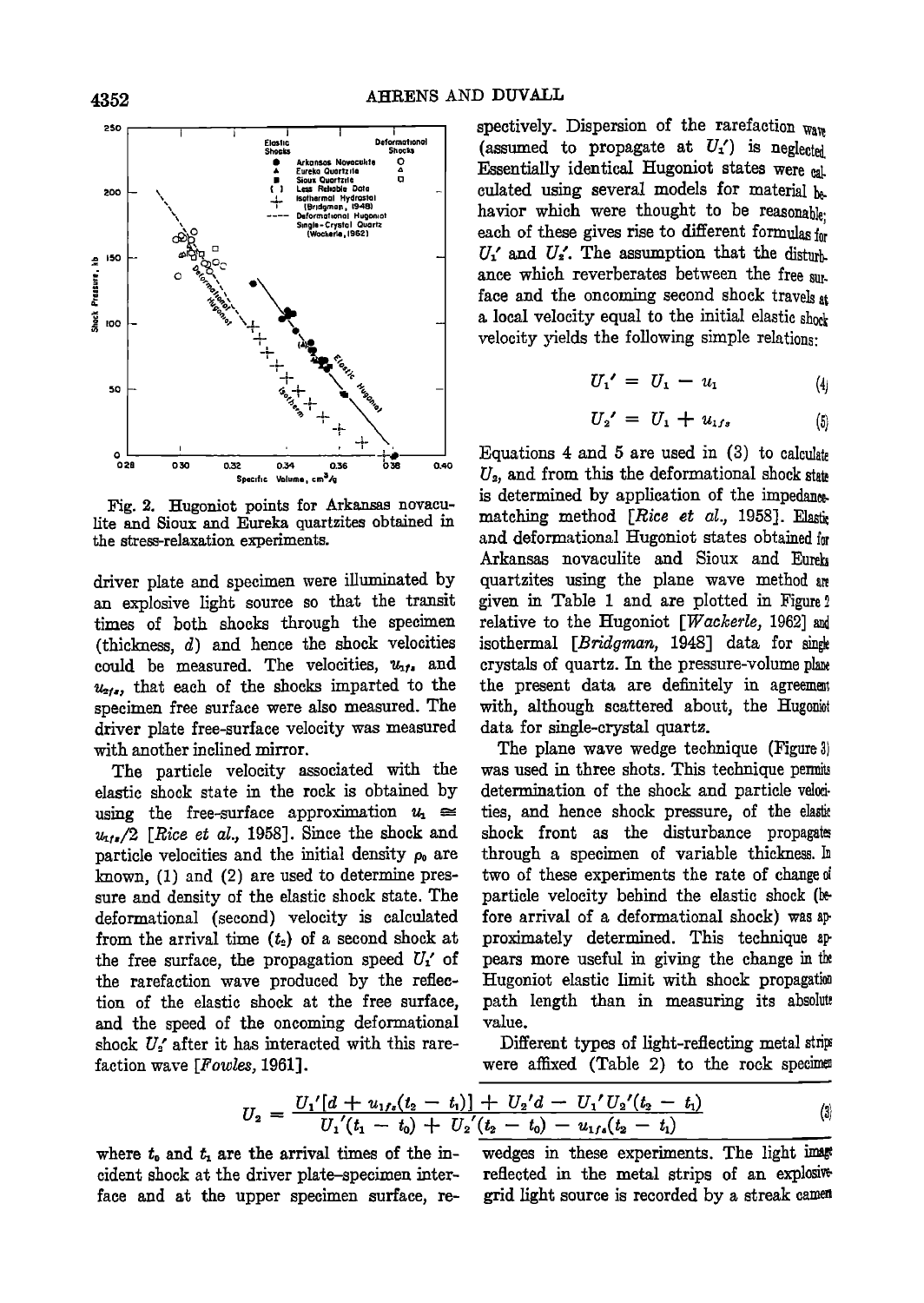

Fig. 2. Hugoniot points for Arkansas novacu**lite and Sioux and Eureka quartzites obtained in the stress-relaxation experiments.** 

**driver plate and specimen were illuminated by an explosive light source so that the transit times of both shocks through the specimen (thickmess, d)and hence the shock velocities**  could be measured. The velocities,  $u_{11}$ , and  $u_{21}$ , that each of the shocks imparted to the **specimen free surface were also measured. The driver plate free-surface velocity was measured with another inclined mirror.** 

**The particle velocity associated with the elastic shock stale in the rock is obtained by**  using the free-surface approximation  $u_1 \approx$  $u_{11}$ /2 [Rice et al., 1958]. Since the shock and **particle velocities and the initial density po are ?mown, (1) and (2) are used to determine pressure and density of the elastic shock state. The deformafional (second) velocity is calculated**  from the arrival time  $(t_2)$  of a second shock at the free surface, the propagation speed  $U_1'$  of **the rarefaction wave produced by the reflection of the elastic shock at the free surface, and the speed of the oncoming deformational**  shock U<sub>s</sub>' after it has interacted with this rare**faction wave [Fowles, 1961].** 

**spectively. Dispersion of the rarefaction ware**  (assumed to propagate at  $U_1'$ ) is neglected **Essentially identical Hugoniot states were**  $nL$ culated using several models for material be havior which were thought to be reasonable. **each of these gives rise to different formulas for**   $U_1'$  and  $U_2'$ . The assumption that the disturb **ance which reverberates between the free sur. face and the oncoming second shock travels a•**  a local velocity equal to the initial elastic shork velocity yields the following simple relations:

$$
U_1' = U_1 - u_1 \tag{4}
$$

$$
U_2' = U_1 + u_{1fs} \tag{5}
$$

**Equations 4 and 5 are used in (3) to calculate U.•, and from this the deformafional shock state is determined by application of the impedane+**  matching method [Rice et al., 1958]. Elastic and deformational Hugoniot states obtained for **Arkansas novaculite and Sioux and Eureh quartzites using the plane wave method given • Table 1 and are plotted in Figure2 relative to the Hugoniot [Wackerle, 1962]**  isothermal [*Bridgman*, 1948] data for singk **crystals of quartz. In the pressure-volume phne the present data are definitely in agreema•**  with, although scattered about, the Hugonist **data for single-crystal quartz.** 

**The plane wave wedge technique (Figure 3)**  was used in three shots. This technique permit determination of the shock and particle velocties, and hence shock pressure, of the elaste **shock front as the disturbance propagate**  through a specimen of variable thickness. In two of these experiments the rate of change of particle velocity behind the elastic shock (be**fore arrival of a deformafional shock) was proximately determined. This technique**  pears more useful in giving the change in the Hugoniot elastic limit with shock propagation path length than in measuring its absolute **value.** 

**Different types of light-reflecting metal strip** were affixed (Table 2) to the rock speciment

$$
U_2 = \frac{U_1'[d + u_{1fs}(t_2 - t_1)] + U_2'd - U_1'U_2'(t_2 - t_1)}{U_1'(t_1 - t_0) + U_2'(t_2 - t_0) - u_{1fs}(t_2 - t_1)}
$$
\n
$$
(3)
$$

cident shock at the driver plate–specimen inter- reflected in the metal strips of an explosive<br>face and at the upper specimen surface, re- grid light source is recorded by a streak camen face and at the upper specimen surface, re-

where  $t_0$  and  $t_1$  are the arrival times of the in-<br>vedges in these experiments. The light image<br>cident shock at the driver plate-specimen inter-<br>reflected in the metal strips of an explosive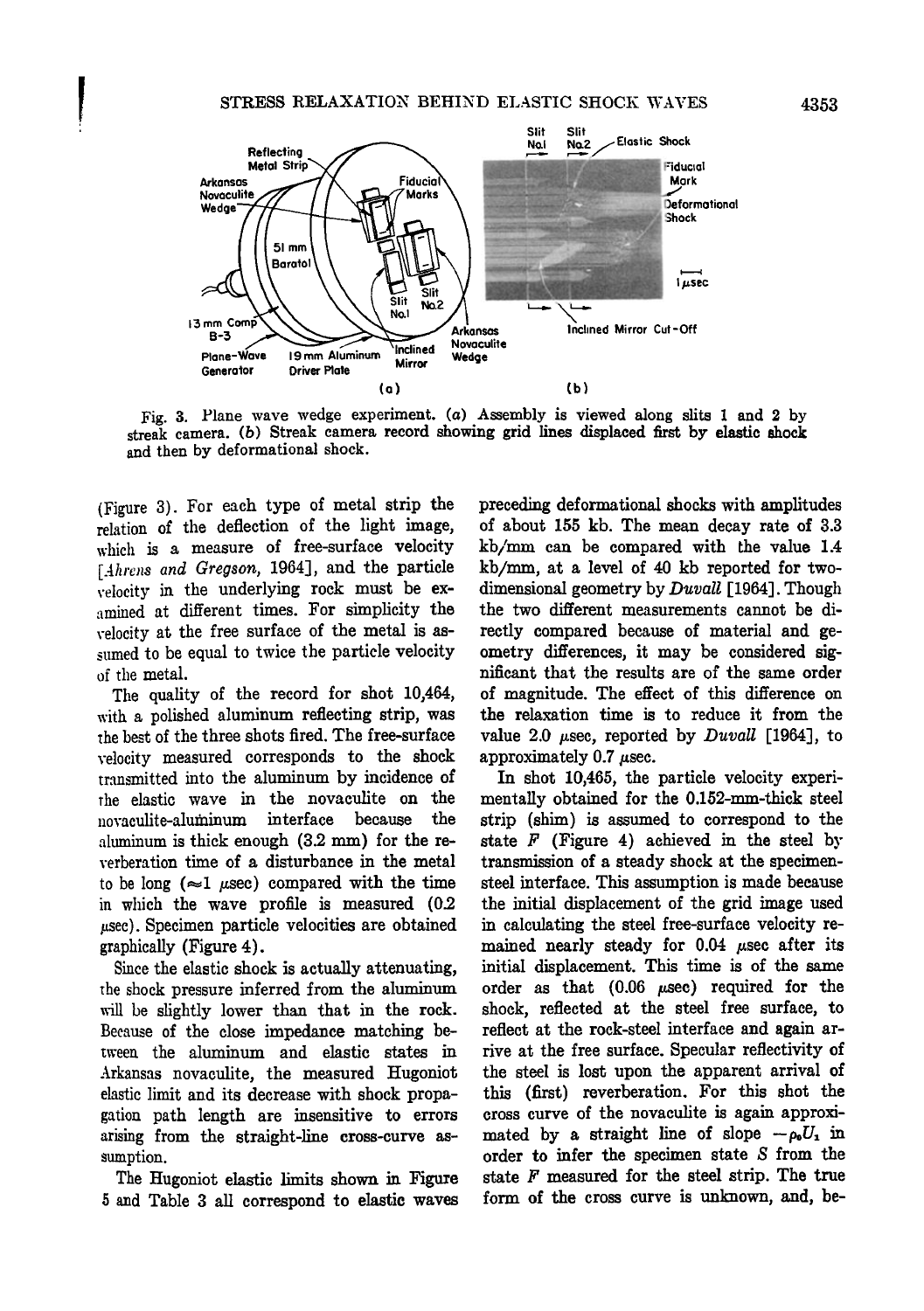

Fig. 3. Plane wave wedge experiment. (a) Assembly is viewed along slits 1 and 2 by **streak camera. (b) Streak camera record showing grid lines displaced first by elastic shock and then by deformational shock.** 

**(Figure 3). For each type of metal strip the relation of the deflection of the light image, which is a measure of free-surface velocity**  [Ahrens and Gregson, 1964], and the particle **velocity in the underlying rock must be examined at different times. For simplicity the**  velocity at the free surface of the metal is as**sumed to be equal to twice the particle velocity**  of the **metal**.

The quality of the record for shot 10,464, **with a polished aluminum reflecting strip, was the best of the three shots fired. The free-surface velocity measured earresponds to the shock**  transmitted into the aluminum by incidence of **the elastic wave in the novaeulite on the novaculite-aluminum interface because the**  aluminum is thick enough  $(3.2 \text{ mm})$  for the re**verberation time of a disturbance in the metal**  to be long  $(\approx 1 \text{ \mu sec})$  compared with the time **in which the wave profile is measured (0.2**   $\mu$ sec). Specimen particle velocities are obtained **graphically (Figure 4).** 

**Since the elastic shock is actually attenuating, the shock pressure inferred from the aluminum**  will be slightly lower than that in the rock. **Because of the close impedance matching between the aluminum and elastic states in**  Arkansas novaculite, the measured Hugoniot elastic limit and its decrease with shock propa**gation path length are insensitive to errors arising from the straight-line cross-curve assumption.** 

The Hugoniot elastic limits shown in Figure **5 and Table 3 all earrespond to elastic waves**  **preceding deforma tional shocks with amplitudes of about 155 kb. The mean decay rate of 3.3**  kb/mm can be compared with the value 1.4 **kb/mm, at a lay'el of 40 kb reported for two**dimensional geometry by *Duvall* [1964]. Though the two different measurements cannot be di**rectly compared because of material and geometry differences, it may be considered significant that the results are of the same order of magnitude. The effect of this difference on the relaxation time is to reduce it from the**  value 2.0  $\mu$ sec, reported by *Duvall* [1964], to approximately 0.7  $\mu$ sec.

In shot 10,465, the particle velocity experimentally obtained for the 0.152-mm-thick steel **strip (shim) is assumed to earrespond to the state F (Figure 4) achieved in the steel by transmission of a steady shock at the specimensteel interface. This assumption is made because the initial displacement of the grid image used in calculating the steel free-surface velocity re**mained nearly steady for 0.04  $\mu$ sec after its **initial displacement. This time is of the same**  order as that  $(0.06 \text{ }\mu\text{sec})$  required for the **shock, reflected at the steel free surface, to reflect at the rock-steel interface and again arrive at the free surface. Specular reflectivity of the steel is lost upon the apparent arrival of this (first) reverberation. For this shot the cross curve of the novaculite is again approxi**mated by a straight line of slope  $-\rho_0 U_1$  in **order to infer the specimen state S from the state F measured for the steel strip. The true**  form of the cross curve is unknown, and, be-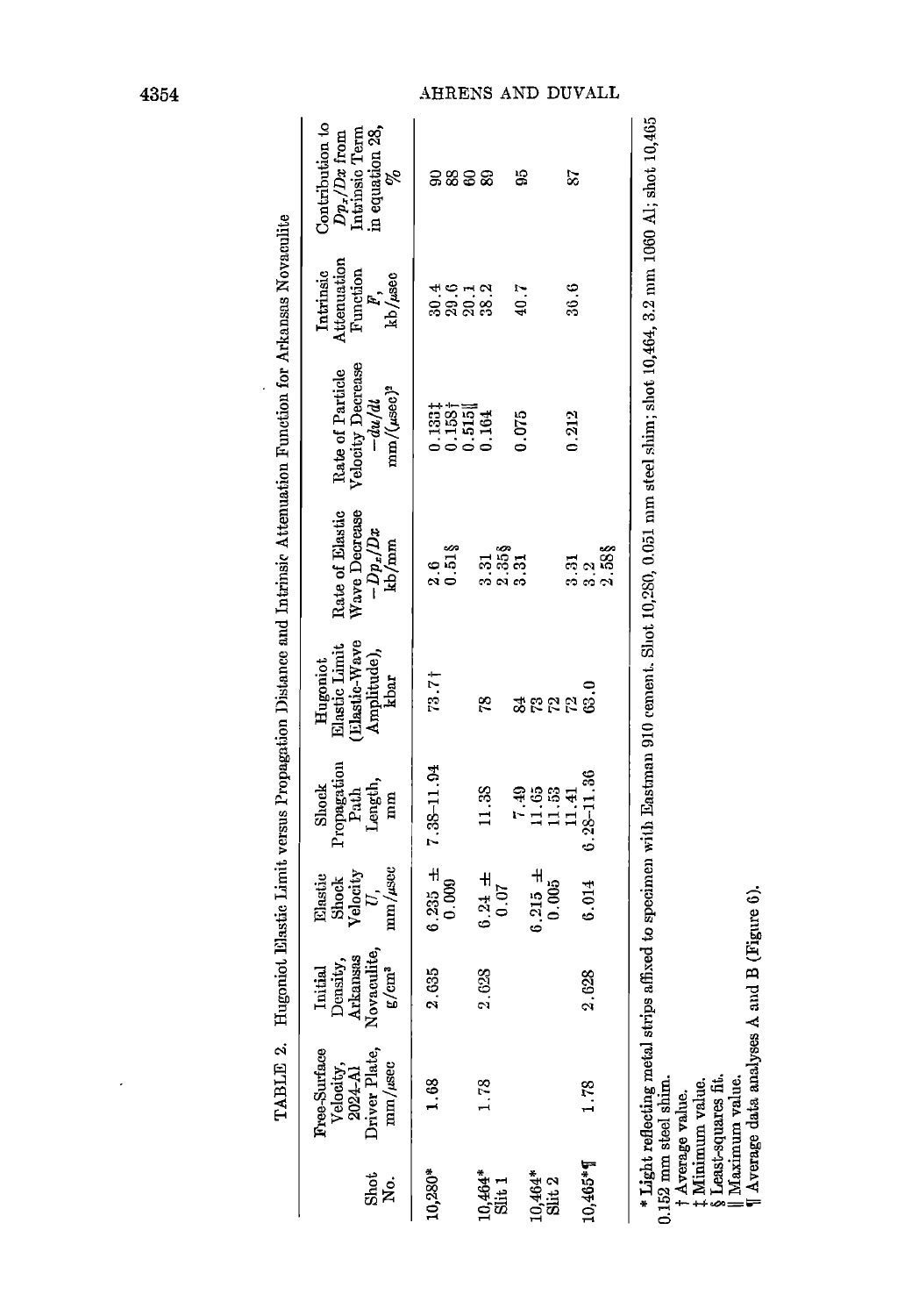|                                 | <b>Free-Surface</b><br>Velocity,   | Initial                                                  | Elastic<br>Shock         | Propagation<br>Shock            | Elastic Limit<br>Hugoniot           | Rate of Elastic                                           | Rate of Particle<br>Velocity Decrease                                                                                                                      | Attenuation<br>Intrinsic     | Contribution to<br>$D p_{\rm r}/D x$ from<br>Intrinsic Term |
|---------------------------------|------------------------------------|----------------------------------------------------------|--------------------------|---------------------------------|-------------------------------------|-----------------------------------------------------------|------------------------------------------------------------------------------------------------------------------------------------------------------------|------------------------------|-------------------------------------------------------------|
| Shot<br>。<br>N                  | Driver Plate<br>mm/usec<br>2024-A) | Density,<br>Arkansas<br>Novaculite,<br>E/cm <sup>3</sup> | mm/µsec<br>Velocity<br>E | Length,<br>Path<br>$\mathbf{m}$ | Llastic-Wave<br>Amplitude),<br>kbar | Wave Decrease<br>$-Dp_x/Dx$<br>kb/mm                      | mm/(usec) <sup>2</sup><br>$-du/dt$                                                                                                                         | Function<br>kb/usec<br>$F$ , | in equation 28, $\frac{\%}{\%}$                             |
| 10,280*                         | $\frac{8}{1}$                      | 2.635                                                    | $6.235 +$                | 7.38-11.94                      | $73.7\dagger$                       | $\frac{6}{2}$                                             |                                                                                                                                                            |                              |                                                             |
|                                 |                                    |                                                          | 0.000                    |                                 |                                     | $0.51$ $\S$                                               | $0.1331$<br>$0.1531$                                                                                                                                       | ្គូតុក្នុង<br>អ្នកនិង        | <b>288</b>                                                  |
|                                 |                                    |                                                          |                          |                                 |                                     |                                                           | 0.515                                                                                                                                                      |                              |                                                             |
| $0,464*$                        | 1.78                               | 2,628                                                    | $0.24 \pm$               | 11.38                           | 28                                  | 3.31                                                      |                                                                                                                                                            |                              |                                                             |
| Slit <sub>1</sub>               |                                    |                                                          | 0.07                     |                                 |                                     | $\begin{smallmatrix} 2 & 358 \\ 3 & 31 \end{smallmatrix}$ |                                                                                                                                                            |                              |                                                             |
|                                 |                                    |                                                          |                          | 7.49                            |                                     |                                                           | 0.075                                                                                                                                                      | 40.7                         | 95                                                          |
| $10,464$ <sup>*</sup><br>Slit 2 |                                    |                                                          | $0.215 +$                | 11.65                           |                                     |                                                           |                                                                                                                                                            |                              |                                                             |
|                                 |                                    |                                                          | 0.005                    | 11,53                           | <b>ರ್ಜ</b> ಲ್ಲಿ                     |                                                           |                                                                                                                                                            |                              |                                                             |
|                                 |                                    |                                                          |                          | 11.41                           |                                     | $\frac{5}{3}$                                             | 0.212                                                                                                                                                      | 36.6                         | 23                                                          |
| 10,465*1                        | 1.78                               | 2.628                                                    | 0.014                    | $0.28 - 11.36$                  | 63.0                                | e<br>S                                                    |                                                                                                                                                            |                              |                                                             |
|                                 |                                    |                                                          |                          |                                 |                                     | 2.58                                                      |                                                                                                                                                            |                              |                                                             |
|                                 |                                    |                                                          |                          |                                 |                                     |                                                           | $*$ Light reflecting metal strips affixed to specimen with Eastman 910 cement. Sluct 10,280, 0.051 mm steel shim; shot 10,464, 3.2 mm 1060 A1; shot 10,465 |                              |                                                             |
|                                 |                                    |                                                          |                          |                                 |                                     |                                                           |                                                                                                                                                            |                              |                                                             |

Fingoniot Elastic Limit versus Proposation Distance and Intrinsic Attenuation Function for Arkansas Novamilies TARIE 2

l,

0.152 mm steel shin.<br>  $\uparrow$  Average value.<br>  $\uparrow$  Average value.<br>  $\uparrow$  Minimum value.<br>  $\uparrow$  Minimum value.<br>  $\uparrow$  Least-squares fit.<br>  $\parallel$  Maximum value.<br>  $\parallel$  Maximum value.

 $\overline{\phantom{a}}$ 

# AHRENS AND DUVALL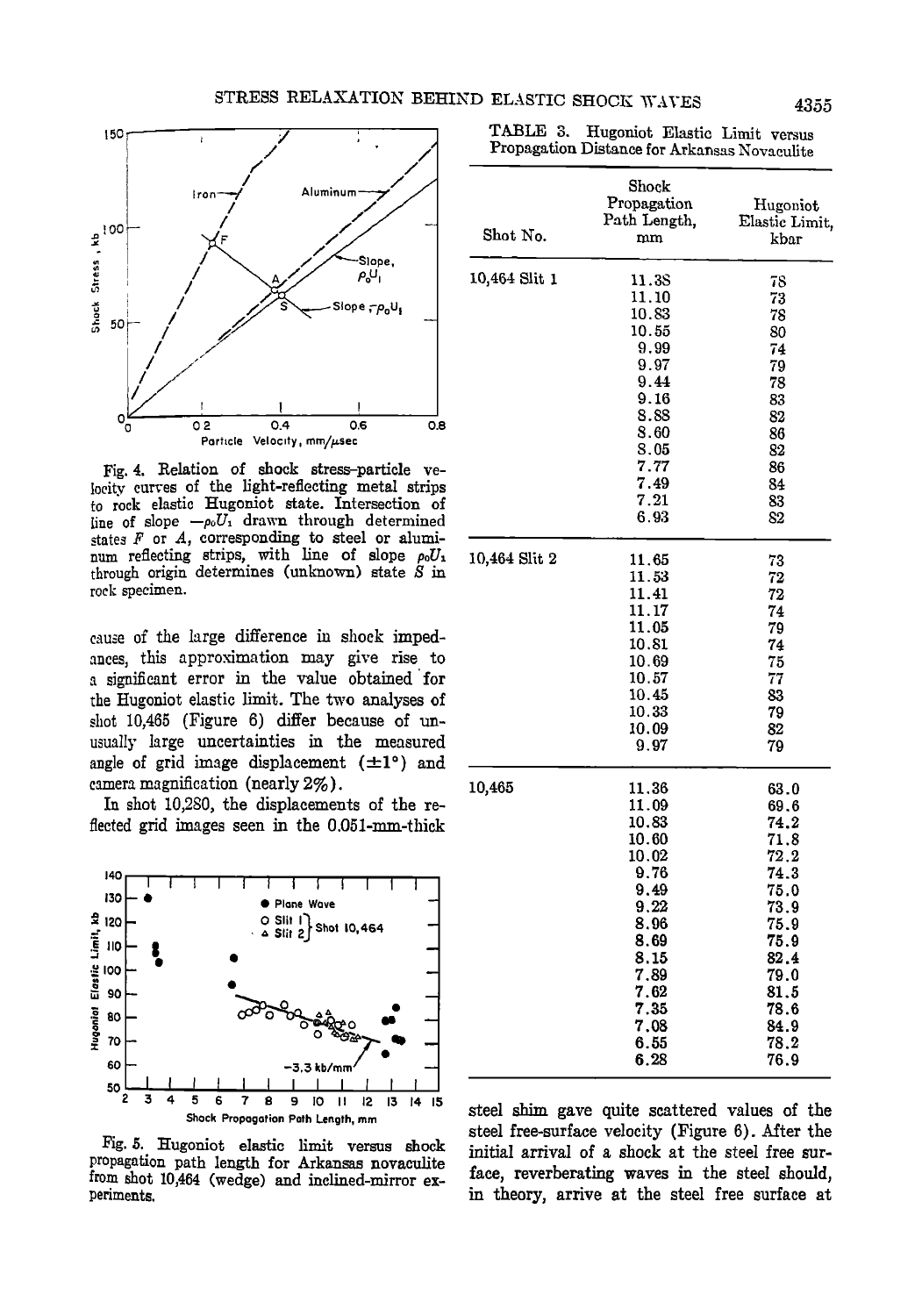

Fig. 4. Relation of shock stress-particle velocity curves of the light-reflecting metal strips to rock elastic Hugoniot state. Intersection of line of slope  $-\rho_0 U_1$  drawn through determined states  $F$  or  $A$ , corresponding to steel or aluminum reflecting strips, with line of slope  $\rho_0 U_1$ through origin determines (unknown) state  $S$  in rock specimen.

cause of the large difference in shock impedances, this approximation may give rise to a significant error in the value obtained for the Hugoniot elastic limit. The two analyses of shot 10.465 (Figure 6) differ because of unusually large uncertainties in the measured angle of grid image displacement  $(\pm 1^{\circ})$  and camera magnification (nearly 2%).

In shot 10,280, the displacements of the reflected grid images seen in the 0.051-mm-thick



Fig. 5. Hugoniot elastic limit versus shock propagation path length for Arkansas novaculite from shot 10,464 (wedge) and inclined-mirror experiments.

TABLE 3. Hugoniot Elastic Limit versus Propagation Distance for Arkansas Novaculite

| Shot No.      | Shock<br>Propagation<br>Path Length,<br>mm | Hugoniot<br>Elastic Limit,<br>kbar |
|---------------|--------------------------------------------|------------------------------------|
| 10,464 Slit 1 | 11.38<br>11.10<br>10.83                    | 78<br>73<br>78                     |
|               | 10.55                                      | 80                                 |
|               | 9.99                                       | 74                                 |
|               | 9.97                                       | 79                                 |
|               | 9.44<br>9.16                               | 78<br>83                           |
|               | 8.88                                       | 82                                 |
|               | 8.60                                       | 86                                 |
|               | 8.05<br>7.77                               | 82<br>86                           |
|               | 7.49                                       | 84                                 |
|               | 7.21                                       | 83                                 |
|               | 6.93                                       | 82                                 |
| 10,464 Slit 2 | 11.65                                      | 73                                 |
|               | 11.53<br>11.41                             | 72<br>72                           |
|               | 11.17                                      | 74                                 |
|               | 11.05                                      | 79                                 |
|               | 10.81<br>10.69                             | 74<br>75                           |
|               | 10.57                                      | 77                                 |
|               | 10.45                                      | 83                                 |
|               | 10.33                                      | 79                                 |
|               | 10.09<br>9.97                              | 82<br>79                           |
| 10,465        | 11.36                                      | 63.0                               |
|               | 11.09                                      | 69.6                               |
|               | 10.83<br>10.60                             | 74.2<br>71.8                       |
|               | 10.02                                      | 72.2                               |
|               | 9.76                                       | 74.3                               |
|               | 9.49                                       | 75.0                               |
|               | 9.22<br>8.96                               | 73.9<br>75.9                       |
|               | 8.69                                       | 75.9                               |
|               | 8.15                                       | 82.4                               |
|               | 7.89                                       | 79.0                               |
|               | 7.62<br>7.35                               | 81.5<br>78.6                       |
|               | 7.08                                       | 84.9                               |
|               | 6.55                                       | 78.2                               |
|               | ჩ. 28                                      | 76.9                               |

steel shim gave quite scattered values of the steel free-surface velocity (Figure 6). After the initial arrival of a shock at the steel free surface, reverberating waves in the steel should, in theory, arrive at the steel free surface at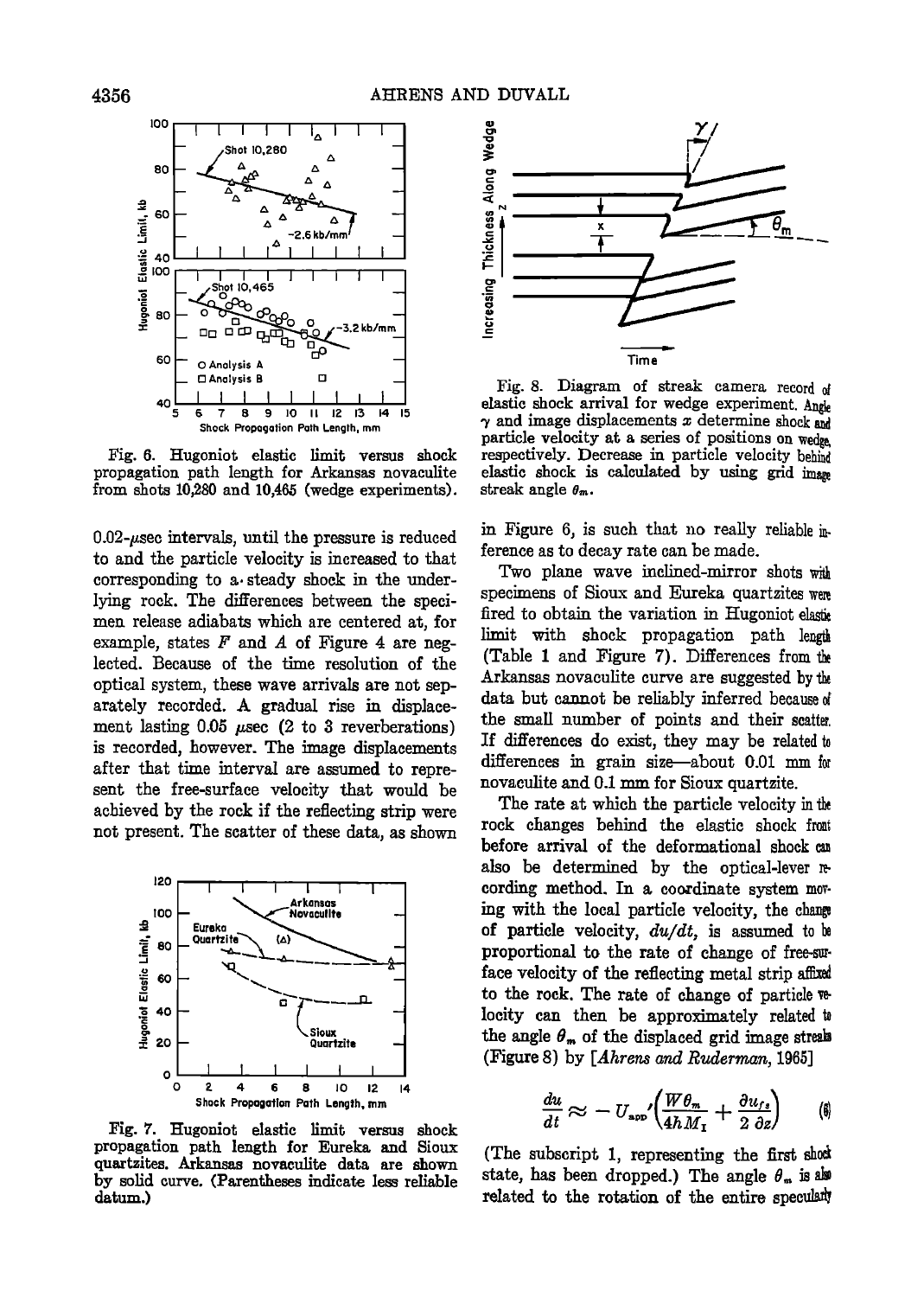

Fig. 6. Hugoniot elastic limit versus shock propagation path length for Arkansas novaculite from shots 10,280 and 10,465 (wedge experiments).

 $0.02$ -usec intervals, until the pressure is reduced to and the particle velocity is increased to that corresponding to a steady shock in the underlying rock. The differences between the specimen release adiabats which are centered at, for example, states  $F$  and  $A$  of Figure 4 are neglected. Because of the time resolution of the optical system, these wave arrivals are not separately recorded. A gradual rise in displacement lasting 0.05  $\mu$ sec (2 to 3 reverberations) is recorded, however. The image displacements after that time interval are assumed to represent the free-surface velocity that would be achieved by the rock if the reflecting strip were not present. The scatter of these data, as shown



Fig. 7. Hugoniot elastic limit versus shock propagation path length for Eureka and Sioux quartzites. Arkansas novaculite data are shown by solid curve. (Parentheses indicate less reliable datum.)



Fig. 8. Diagram of streak camera record of elastic shock arrival for wedge experiment. Angle  $\gamma$  and image displacements  $x$  determine shock and particle velocity at a series of positions on wedge. respectively. Decrease in particle velocity behind elastic shock is calculated by using grid image streak angle  $\theta_m$ .

in Figure 6, is such that no really reliable inference as to decay rate can be made.

Two plane wave inclined-mirror shots with specimens of Sioux and Eureka quartzites were fired to obtain the variation in Hugoniot elastic limit with shock propagation path length (Table 1 and Figure 7). Differences from the Arkansas novaculite curve are suggested by the data but cannot be reliably inferred because of the small number of points and their scatter. If differences do exist, they may be related to differences in grain size-about 0.01 mm for novaculite and 0.1 mm for Sioux quartzite.

The rate at which the particle velocity in the rock changes behind the elastic shock from before arrival of the deformational shock cu also be determined by the optical-lever recording method. In a coordinate system moving with the local particle velocity, the change of particle velocity,  $du/dt$ , is assumed to be proportional to the rate of change of free-suface velocity of the reflecting metal strip affixed to the rock. The rate of change of particle velocity can then be approximately related to the angle  $\theta_m$  of the displaced grid image streaks (Figure 8) by [Ahrens and Ruderman, 1965]

$$
\frac{du}{dt} \approx -U_{\rm app} \left( \frac{W \theta_m}{4h M_1} + \frac{\partial u_{fs}}{2 \partial z} \right) \qquad (\emptyset)
$$

(The subscript 1, representing the first shock) state, has been dropped.) The angle  $\theta_m$  is also related to the rotation of the entire specularly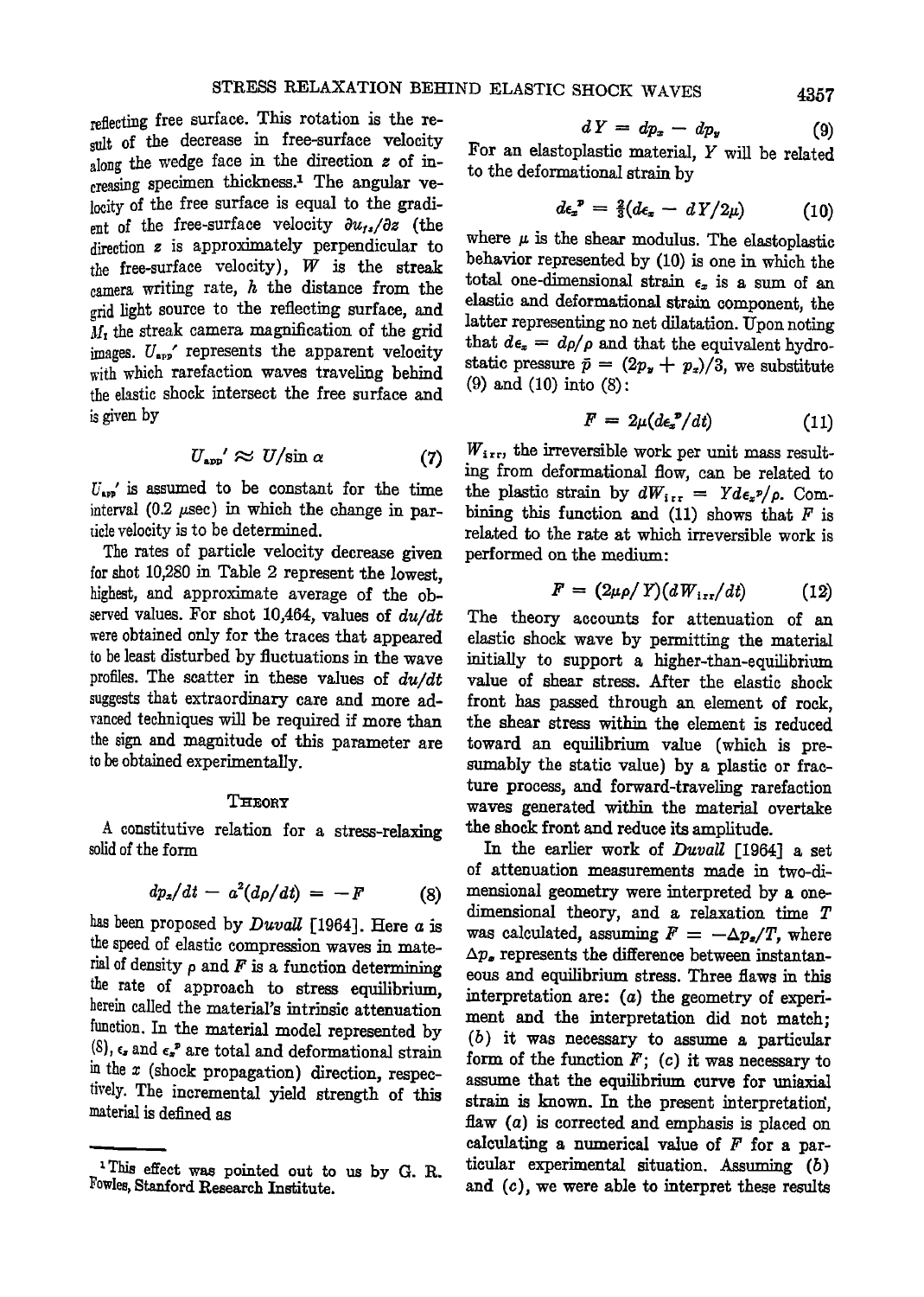**reflecting free surface. This rotation is the resuit of the decrease in free-surface velocity along the wedge face in the direction z of in**creasing specimen thickness.<sup>1</sup> The angular ve**locity of the free surface is equal to the gradi**ent of the free-surface velocity  $\partial u_{1*}/\partial z$  (the **direction z is approximately perpendicular to the free-surface velocity), IV is the streak camera writing rate, h the distance from the grid light source lo the reflecting surface, and •1I• the streak camera magnification of the grid images. U,•p' represents the apparent velocity with which rarefaction waves traveling behind the elastic shock intersect the free surface and is given by** 

$$
U_{\rm app}' \approx U/\sin \alpha \tag{7}
$$

**U,p,' is assumed to be constant for the time**  interval (0.2  $\mu$ sec) in which the change in par**tide velocity is to be determined.** 

**The rates of particle velocity decrease given for shot 10,280 in Table 2 represent the lowest, highest, and approximate average of the observed values. For shot 10,464:, values of du/dt were obtained only for the traces that appeared to be least disturbed by fluctuations in the wave**  profiles. The scatter in these values of  $du/dt$ **suggests that extraordinary care and more advanced techniques will be required if more than the sign and magnitude of this parameter are to be obtained experimentally.** 

### $$

**A constitutive relation for a stress-relaxing solid of lhe form** 

$$
dp_x/dt - a^2(d\rho/dt) = -F \qquad (8)
$$

has been proposed by *Duvall* [1964]. Here *a* is **the speed of elastic compression waves in mate**rial of density  $\rho$  and  $F$  is a function determining **the rate of approach to stress equilibrium, herein called the material's intrinsic attenuation function. In the material model represented by**   $(8)$ ,  $\epsilon$ , and  $\epsilon$ <sup>2</sup> are total and deformational strain **in the x (shock propagation) direction, respectively. The incremental yield strength of this material is defined as** 

$$
dY = dp_x - dp_y \tag{9}
$$

**For an elastoplastic material, Y will be related to the deformational strain by** 

$$
d\epsilon_x^{\ \ p} = \tfrac{2}{3}(d\epsilon_x - d\,Y/2\mu) \tag{10}
$$

where  $\mu$  is the shear modulus. The elastoplastic behavior represented by (10) is one in which the total one-dimensional strain  $\epsilon_x$  is a sum of an elastic and deformational strain component, the **latter representing no net dilatation. Upon noting**  that  $d\epsilon_x = d\rho/\rho$  and that the equivalent hydrostatic pressure  $\bar{p} = (2p_x + p_x)/3$ , we substitute **(9) and (10) into (8):** 

$$
F = 2\mu (d\epsilon_x^{\ \ p}/dt) \tag{11}
$$

 $W_{i,r}$ , the irreversible work per unit mass result**ing from deformational fow, can be related**  the plastic strain by  $dW_{i,r} = Y d\epsilon_x p / \rho$ . Combining this function and  $(11)$  shows that  $F$  is related to the rate at which irreversible work is **performed on the medium:** 

$$
F = (2\mu \rho / Y)(dW_{\text{irr}}/dt) \tag{12}
$$

**The theory accounts for attenuation of an**  elastic shock wave by permitting the material initially to support a higher-than-equilibrium **value of shear stress. After the elastia shock**  front has passed through an element of rock, the shear stress within the element is reduced toward an equilibrium value (which is presumably the static value) by a plastic or fracture process, and forward-traveling rarefaction **waves generated Mihin the material overtake**  the shock front and reduce its amplitude.

**In the earlier work of Duvall [I964] a**  of attenuation measurements made in two-dimensional geometry were interpreted by a one**dimensional theory, and a relaxation time**  was calculated, assuming  $F = -\Delta p_s/T$ , where  $\Delta p_s$  represents the difference between instantaneous and equilibrium stress. Three flaws in this interpretation are: (a) the geometry of experiment and the interpretation did not match; (b) it was necessary to assume a particular form of the function  $F$ ; (c) it was necessary to assume that the equilibrium curve for uniaxial strain is known. In the present interpretation, flaw (a) is corrected and emphasis is placed on calculating a numerical value of  $F$  for a particular experimental situation. Assuming (b) and (c), we were able to interpret these results

<sup>&</sup>lt;sup>1</sup>This effect was pointed out to us by G. R. **Fowles, Stanford Research Institute.**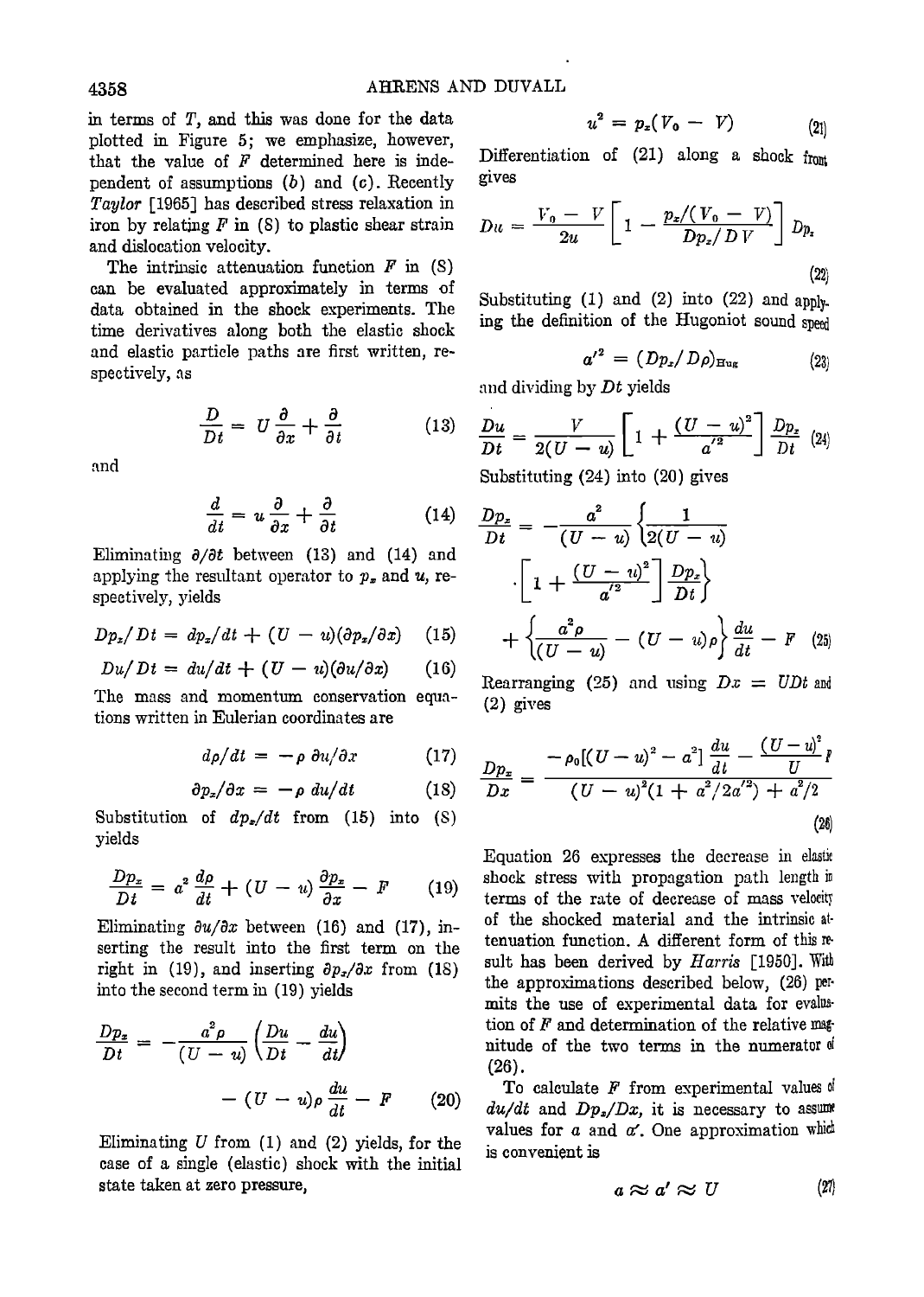**in terms of T, and this was done for the data plotted in Figure 5; we emphasize, however,**  that the value of  $F$  determined here is inde**pendent of assumptions (b) and (c). Recently Taylor [1965] has described stress relaxation in iron by relating F in (8) to plastic shear strain and dislocation velocity.** 

The intrinsic attenuation function  $F$  in  $(S)$ **can be evaluated approximately in terms of data obtained in the shock experiments. The time derivatives along both the elastic shock**  and elastic particle paths are first written, re**speetively, as** 

$$
\frac{D}{Dt} = U \frac{\partial}{\partial x} + \frac{\partial}{\partial t} \tag{13}
$$

**and** 

$$
\frac{d}{dt} = u \frac{\partial}{\partial x} + \frac{\partial}{\partial t} \tag{14}
$$

Eliminating  $\partial/\partial t$  between (13) and (14) and applying the resultant operator to  $p_x$  and  $u$ , re**spectively, yields** 

$$
Dp_x/Dt = dp_x/dt + (U - u)(\partial p_x/\partial x) \quad (15)
$$

$$
Du/Dt = du/dt + (U - u)(\partial u/\partial x) \qquad (16)
$$

**The mass and momentum conservation equations written in Eu!erian coordinates are** 

$$
d\rho/dt = -\rho \partial u/\partial x \qquad (17)
$$

$$
\partial p_x/\partial x = -\rho \ du/dt \qquad (18)
$$

**Substitution of dp•/dt from (15) into (s) yields** 

$$
\frac{Dp_x}{Dt} = a^2 \frac{d\rho}{dt} + (U - u) \frac{\partial p_x}{\partial x} - F \qquad (19)
$$

Eliminating  $\partial u/\partial x$  between (16) and (17), in**serting the result into the first term on the**  right in (19), and inserting  $\partial p_x/\partial x$  from (18) **into the second term in (19) yields** 

$$
\frac{Dp_z}{Dt} = -\frac{a^2 \rho}{(U - u)} \left( \frac{Du}{Dt} - \frac{du}{dt} \right)
$$

$$
- (U - u)\rho \frac{du}{dt} - F \qquad (20)
$$

**Eliminating U from (1) and (2) yields, for the case of a single (elastic) shock with the initial state taken at zero pressure,** 

$$
u^2 = p_x(V_0 - V) \tag{21}
$$

Differentiation of (21) along a shock from **gives** 

$$
Du = \frac{V_0 - V}{2u} \left[ 1 - \frac{p_z/(V_0 - V)}{Dp_z/D V} \right] Dp_z
$$
\n(22)

Substituting (1) and (2) into (22) and apply**ing the definition of the Hugoniot sound speed** 

$$
{a'}^2 = (Dp_x/D\rho)_{\text{Hug}} \qquad (23)
$$

and dividing by Dt yields

$$
\frac{Du}{Dt}=\frac{V}{2(U-u)}\left[1+\frac{(U-u)^2}{a^{'2}}\right]\frac{Dp_z}{Dt} (24)
$$

**Substituting (24) into (20) gives** 

$$
\frac{Dp_z}{Dt} = -\frac{a^2}{(U-u)} \left\{ \frac{1}{2(U-u)}
$$

$$
\cdot \left[ 1 + \frac{(U-u)^2}{a'^2} \right] \frac{Dp_z}{Dt} \right\}
$$

$$
+ \left\{ \frac{a^2 \rho}{(U-u)} - (U-u)\rho \right\} \frac{du}{dt} - F \quad (25)
$$

**Rearranging** (25) and using  $Dx = UDt$  and **(2) gives** 

$$
\frac{Dp_x}{Dx} = \frac{-\rho_0[(U-u)^2 - a^2] \frac{du}{dt} - \frac{(U-u)^2}{U}P}{(U-u)^2(1 + a^2/2a^2) + a^2/2}
$$
\n(26)

**Equation 26 expresses the decrease in elastic shock stress with propagation path length in**  terms of the rate of decrease of mass velocity of the shocked material and the intrinsic at**tenuation function. A different form of this result has been derived by Harris [1950]. With the approximations described below, (26) permits the use of experimental data for evaluation of F and determination of the relative magnitude of the two terms in the numerator of (26).** 

**To calculate F from experimental values of**   $du/dt$  and  $Dp_x/Dx$ , it is necessary to assume values for  $a$  and  $a'$ . One approximation which **is convenient is** 

$$
a\approx a'\approx U\qquad \qquad (27)
$$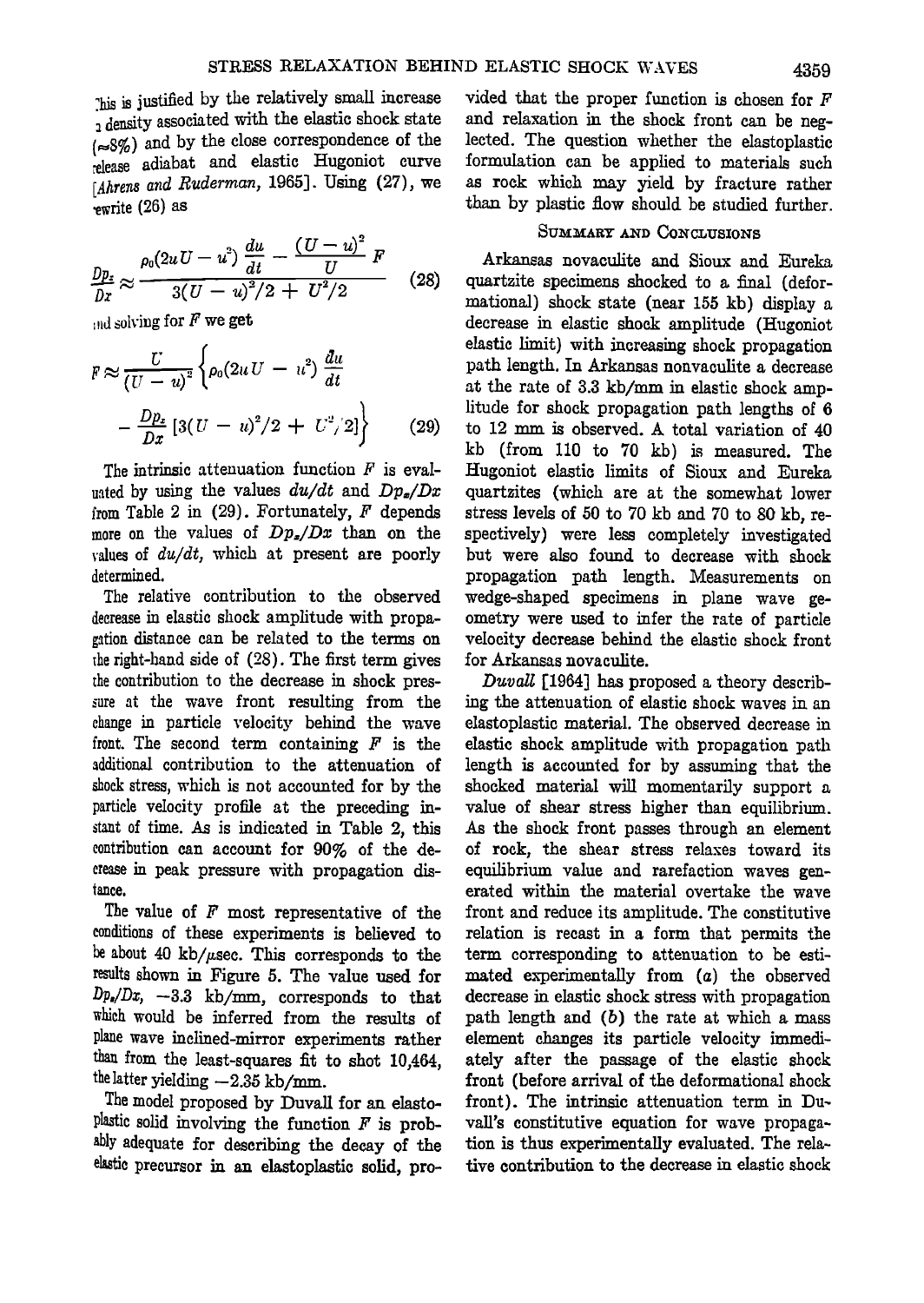**7his justified by the relatively small increase density associated with the elastic shock state (•8%) and by the dose correspondence of the :elease adiabat and elastic Itugoniot curve [Ahrens and Ruderman, 1965]. Using (27), we ß ewrite (26) as** 

$$
\frac{Dp_z}{Dx} \approx \frac{\rho_0 (2uU - u^2) \frac{du}{dt} - \frac{(U - u)^2}{U} F}{3(U - u)^2/2 + U^2/2}
$$
 (28)

 $\text{and solving for } F$  we get

$$
F \approx \frac{U}{(U - u)^2} \left\{ \rho_0 (2uU - u^2) \frac{du}{dt} - \frac{Dp_z}{Dx} \left[ 3(U - u)^2 / 2 + U^2 / 2 \right] \right\}
$$
 (29)

**The intrinsic attenuation function F is eval**uated by using the values  $du/dt$  and  $Dp_{\sigma}/Dx$ **from Table 2 in (29). Fortunately, F depends more on the values of Dp•/Dx than on the values of du/dt, which at present are poorly determined.** 

**The relative contribution to the observed decrease in elastic shock amplitude with propagation distance can be related to the terms on the right-hand side of (28). The first term gives the contribution to the decrease in shock pressure at the wave front resulting from the change in particle velocity behind the wave front. The second term containing F is the additional contribution to the attenuation of**  shock stress, which is not accounted for by the **particle velocity profile at the preceding instant of time. As is indicated in Table 2, this contribution can account for 90% of the decrease inpeak pressure with propagation disrance.** 

**The value of F most representative of the conditions of these experiments is believed to be about 40 kb//•sec. This corresponds to the results shown in Figure 5. The value used for**   $Dp_r/Dx$ ,  $-3.3$  kb/mm, corresponds to that **which would be inferred from the results of plane wave inclined-mirror experiments rather than from the least-squares fit to shot 10,464,**  the latter yielding  $-2.35$  kb/mm.

**The model proposed by Duvall for an elasto**plastic solid involving the function  $F$  is prob**ably adequate for describing the decay of the elastic precursor in an elastoplastic solid, pro-** **vided that the proper function is chosen for F and relaxation in the shock front can be neglected. The question whether the elastoplastic formulation can be applied to materials such as rock which may yield by fracture rather than by plastic flow should be studied further.** 

# SUMMARY AND CONCLUSIONS

Arkansas novaculite and Sioux and Eureka quartzite specimens shocked to a final (defor**mattonal) shock state (near 1815 kb) display decrease in elastic shock amplitude (Hugoniot elastic limit) with increasing shock propagation**  path length. In Arkansas nonvaculite a decrease at the rate of 3.3 kb/mm in elastic shock amp**litude for shock propagation path lengths of 6 to 12 mm is observed. A total variation of 40 kb (from 110 to 70 kb) is measured. The Hugoniot elastic limits of Sioux and Eureka quartzites (which are at the somewhat lower stress levels of 150 to 70 kb and 70 to 80 kb, respectively) were less completely investigated but were also found to decrease with shock**  propagation path length. Measurements on **wedge-shaped specimens in plane wave geometry were used to infer the rate of particle velocity decrease behind the elastic shock front for Arkansas novaculite.** 

Duvall [1964] has proposed a theory describ**ing the attenuation of elastic shock waves in an elastoplastic material. The observed decrease in elastic shock amplitude with propagation path length is accounted for by assuming that the shocked material will momentarily support a value of shear stress higher than equilibrium. As the shock front passes through an element of rock, the shear stress relaxes toward its equilibrium value and rarefaction waves generated within the material overtake the wave front and reduce its amplitude. The eonstitutive relation is recast in a form that permits the**  term corresponding to attenuation to be esti**mated experimentally from (a) the observed decrease in elastic shock stress with propagation path length and (b) the rate at which a mass element changes its particle velocity immediately after the passage of the elastic shock front (before arrival of the deformational shock front). The intrinsic attenuation term in**  vall's constitutive equation for wave propaga**tion is thus experimentally evaluated. The relative contribution to the decrease in elastic shock**